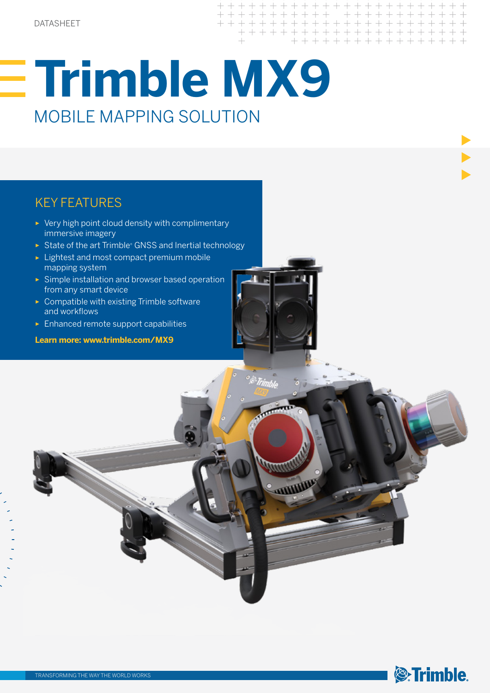# **Trimble MX9** MOBILE MAPPING SOLUTION

## KEY FEATURES

- ► Very high point cloud density with complimentary immersive imagery
- ► State of the art Trimble® GNSS and Inertial technology
- ► Lightest and most compact premium mobile mapping system
- ► Simple installation and browser based operation from any smart device
- ► Compatible with existing Trimble software and workflows
- ► Enhanced remote support capabilities

**Learn more: www.trimble.com/MX9**



 $+++++$ + + + + + + +



**THE POST**